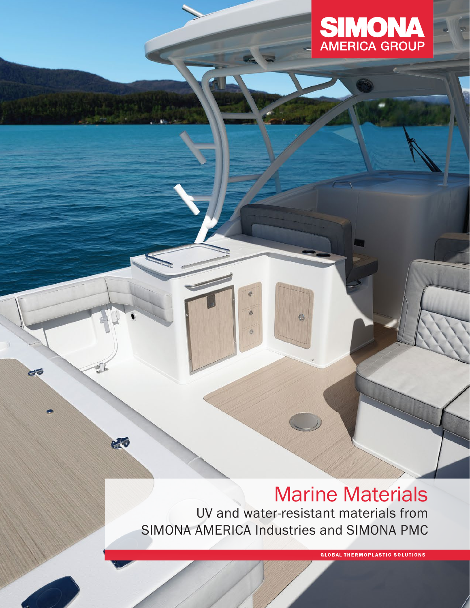

# Marine Materials UV and water-resistant materials from SIMONA AMERICA Industries and SIMONA PMC

 $\bullet$ 

 $\rightarrow$ 

Ä

 $\ddot{\circ}$ 

CO

eto

**GLOBAL THERMOPLASTIC SOLUTIONS**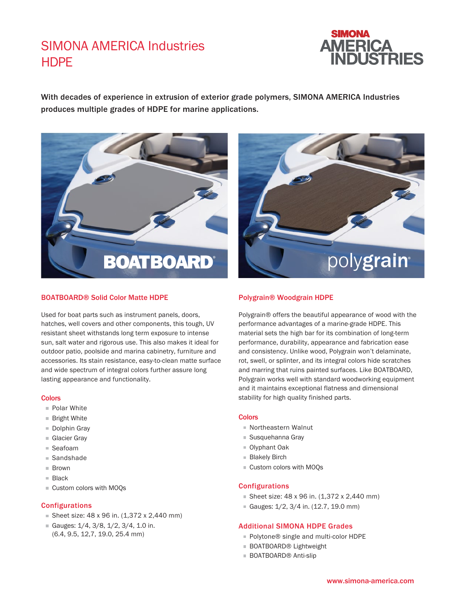### **HDPF** SIMONA AMERICA Industries



With decades of experience in extrusion of exterior grade polymers, SIMONA AMERICA Industries produces multiple grades of HDPE for marine applications.



### BOATBOARD® Solid Color Matte HDPE

Used for boat parts such as instrument panels, doors, hatches, well covers and other components, this tough, UV resistant sheet withstands long term exposure to intense sun, salt water and rigorous use. This also makes it ideal for outdoor patio, poolside and marina cabinetry, furniture and accessories. Its stain resistance, easy-to-clean matte surface and wide spectrum of integral colors further assure long lasting appearance and functionality.

#### **Colors**

- Polar White
- Bright White
- Dolphin Gray
- Glacier Gray
- Seafoam
- Sandshade
- **Brown**
- Black
- Custom colors with MOQs

### Configurations

- Sheet size: 48 x 96 in. (1,372 x 2,440 mm)
- Gauges:  $1/4$ ,  $3/8$ ,  $1/2$ ,  $3/4$ ,  $1.0$  in. (6.4, 9.5, 12,7, 19.0, 25.4 mm)



### Polygrain® Woodgrain HDPE

Polygrain® offers the beautiful appearance of wood with the performance advantages of a marine-grade HDPE. This material sets the high bar for its combination of long-term performance, durability, appearance and fabrication ease and consistency. Unlike wood, Polygrain won't delaminate, rot, swell, or splinter, and its integral colors hide scratches and marring that ruins painted surfaces. Like BOATBOARD, Polygrain works well with standard woodworking equipment and it maintains exceptional flatness and dimensional stability for high quality finished parts.

#### **Colors**

- Northeastern Walnut
- Susquehanna Gray
- Olyphant Oak
- **Blakely Birch**
- Custom colors with MOQs

### Configurations

- Sheet size:  $48 \times 96$  in.  $(1,372 \times 2,440$  mm)
- Gauges: 1/2, 3/4 in. (12.7, 19.0 mm)

### Additional SIMONA HDPE Grades

- Polytone® single and multi-color HDPE
- BOATBOARD<sup>®</sup> Lightweight
- BOATBOARD<sup>®</sup> Anti-slip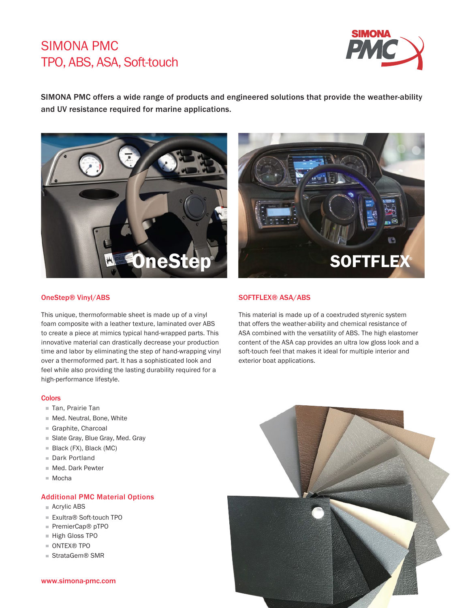### SIMONA PMC TPO, ABS, ASA, Soft-touch



SIMONA PMC offers a wide range of products and engineered solutions that provide the weather-ability and UV resistance required for marine applications.





### OneStep® Vinyl/ABS

This unique, thermoformable sheet is made up of a vinyl foam composite with a leather texture, laminated over ABS to create a piece at mimics typical hand-wrapped parts. This innovative material can drastically decrease your production time and labor by eliminating the step of hand-wrapping vinyl over a thermoformed part. It has a sophisticated look and feel while also providing the lasting durability required for a high-performance lifestyle.

### SOFTFLEX® ASA/ABS

This material is made up of a coextruded styrenic system that offers the weather-ability and chemical resistance of ASA combined with the versatility of ABS. The high elastomer content of the ASA cap provides an ultra low gloss look and a soft-touch feel that makes it ideal for multiple interior and exterior boat applications.

### **Colors**

- Tan, Prairie Tan
- Med. Neutral, Bone, White
- Graphite, Charcoal
- Slate Gray, Blue Gray, Med. Gray
- Black (FX), Black (MC)
- Dark Portland
- Med. Dark Pewter
- Mocha

### Additional PMC Material Options

- Acrylic ABS
- Exultra® Soft-touch TPO
- PremierCap<sup>®</sup> pTPO
- High Gloss TPO
- ONTEX<sup>®</sup> TPO
- StrataGem® SMR